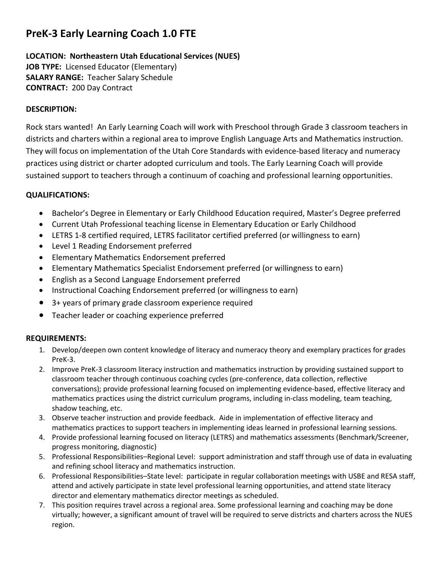# **PreK-3 Early Learning Coach 1.0 FTE**

#### **LOCATION: Northeastern Utah Educational Services (NUES) JOB TYPE:** Licensed Educator (Elementary) **SALARY RANGE:** Teacher Salary Schedule **CONTRACT:** 200 Day Contract

## **DESCRIPTION:**

Rock stars wanted! An Early Learning Coach will work with Preschool through Grade 3 classroom teachers in districts and charters within a regional area to improve English Language Arts and Mathematics instruction. They will focus on implementation of the Utah Core Standards with evidence-based literacy and numeracy practices using district or charter adopted curriculum and tools. The Early Learning Coach will provide sustained support to teachers through a continuum of coaching and professional learning opportunities.

## **QUALIFICATIONS:**

- Bachelor's Degree in Elementary or Early Childhood Education required, Master's Degree preferred
- Current Utah Professional teaching license in Elementary Education or Early Childhood
- LETRS 1-8 certified required, LETRS facilitator certified preferred (or willingness to earn)
- Level 1 Reading Endorsement preferred
- Elementary Mathematics Endorsement preferred
- Elementary Mathematics Specialist Endorsement preferred (or willingness to earn)
- English as a Second Language Endorsement preferred
- Instructional Coaching Endorsement preferred (or willingness to earn)
- 3+ years of primary grade classroom experience required
- Teacher leader or coaching experience preferred

## **REQUIREMENTS:**

- 1. Develop/deepen own content knowledge of literacy and numeracy theory and exemplary practices for grades PreK-3.
- 2. Improve PreK-3 classroom literacy instruction and mathematics instruction by providing sustained support to classroom teacher through continuous coaching cycles (pre-conference, data collection, reflective conversations); provide professional learning focused on implementing evidence-based, effective literacy and mathematics practices using the district curriculum programs, including in-class modeling, team teaching, shadow teaching, etc.
- 3. Observe teacher instruction and provide feedback. Aide in implementation of effective literacy and mathematics practices to support teachers in implementing ideas learned in professional learning sessions.
- 4. Provide professional learning focused on literacy (LETRS) and mathematics assessments (Benchmark/Screener, progress monitoring, diagnostic)
- 5. Professional Responsibilities–Regional Level: support administration and staff through use of data in evaluating and refining school literacy and mathematics instruction.
- 6. Professional Responsibilities–State level: participate in regular collaboration meetings with USBE and RESA staff, attend and actively participate in state level professional learning opportunities, and attend state literacy director and elementary mathematics director meetings as scheduled.
- 7. This position requires travel across a regional area. Some professional learning and coaching may be done virtually; however, a significant amount of travel will be required to serve districts and charters across the NUES region.